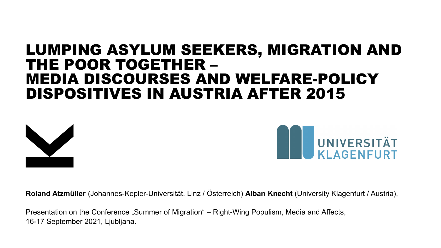# LUMPING ASYLUM SEEKERS, MIGRATION AND THE POOR TOGETHER –<br>MEDIA DISCOURSES AND WELFARE-POLICY DISPOSITIVES IN AUSTRIA AFTER 2015





**Roland Atzmüller** (Johannes-Kepler-Universität, Linz / Österreich) **Alban Knecht** (University Klagenfurt / Austria),

Presentation on the Conference "Summer of Migration" – Right-Wing Populism, Media and Affects, 16-17 September 2021, Ljubljana.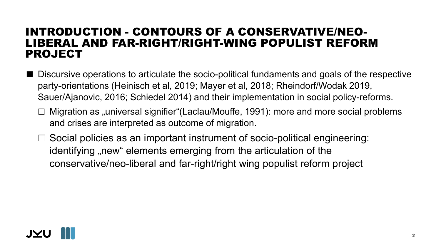#### INTRODUCTION - CONTOURS OF A CONSERVATIVE/NEO-LIBERAL AND FAR-RIGHT/RIGHT-WING POPULIST REFORM PROJECT

- **Discursive operations to articulate the socio-political fundaments and goals of the respective** party-orientations (Heinisch et al, 2019; Mayer et al, 2018; Rheindorf/Wodak 2019, Sauer/Ajanovic, 2016; Schiedel 2014) and their implementation in social policy-reforms.
	- $\Box$  Migration as "universal signifier"(Laclau/Mouffe, 1991): more and more social problems and crises are interpreted as outcome of migration.
	- $\Box$  Social policies as an important instrument of socio-political engineering: identifying "new" elements emerging from the articulation of the conservative/neo-liberal and far-right/right wing populist reform project

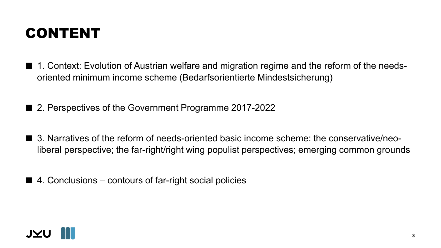## CONTENT

- 1. Context: Evolution of Austrian welfare and migration regime and the reform of the needsoriented minimum income scheme (Bedarfsorientierte Mindestsicherung)
- 2. Perspectives of the Government Programme 2017-2022
- 3. Narratives of the reform of needs-oriented basic income scheme: the conservative/neoliberal perspective; the far-right/right wing populist perspectives; emerging common grounds
- $\blacksquare$  4. Conclusions contours of far-right social policies

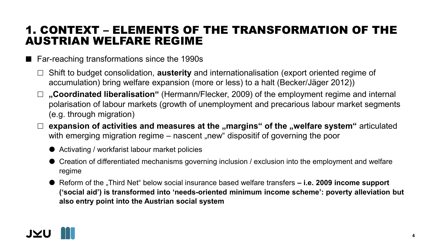#### 1. CONTEXT – ELEMENTS OF THE TRANSFORMATION OF THE AUSTRIAN WELFARE REGIME

- Far-reaching transformations since the 1990s
	- Shift to budget consolidation, **austerity** and internationalisation (export oriented regime of accumulation) bring welfare expansion (more or less) to a halt (Becker/Jäger 2012))
	- □ "Coordinated liberalisation" (Hermann/Flecker, 2009) of the employment regime and internal polarisation of labour markets (growth of unemployment and precarious labour market segments (e.g. through migration)
	- □ expansion of activities and measures at the "margins" of the "welfare system" articulated with emerging migration regime – nascent "new" dispositif of governing the poor
		- Activating / workfarist labour market policies
		- Creation of differentiated mechanisms governing inclusion / exclusion into the employment and welfare regime
		- Reform of the "Third Net" below social insurance based welfare transfers i.e. 2009 income support **('social aid') is transformed into 'needs-oriented minimum income scheme': poverty alleviation but also entry point into the Austrian social system**

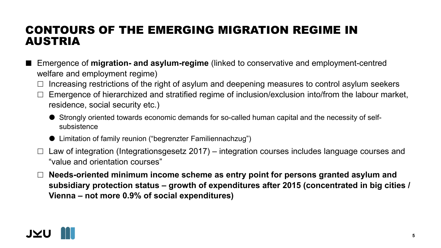#### CONTOURS OF THE EMERGING MIGRATION REGIME IN AUSTRIA

- Emergence of **migration- and asylum-regime** (linked to conservative and employment-centred welfare and employment regime)
	- $\Box$  Increasing restrictions of the right of asylum and deepening measures to control asylum seekers
	- Emergence of hierarchized and stratified regime of inclusion/exclusion into/from the labour market, residence, social security etc.)
		- Strongly oriented towards economic demands for so-called human capital and the necessity of selfsubsistence
		- Limitation of family reunion ("begrenzter Familiennachzug")
	- $\Box$  Law of integration (Integrationsgesetz 2017) integration courses includes language courses and "value and orientation courses"
	- **Needs-oriented minimum income scheme as entry point for persons granted asylum and subsidiary protection status – growth of expenditures after 2015 (concentrated in big cities / Vienna – not more 0.9% of social expenditures)**

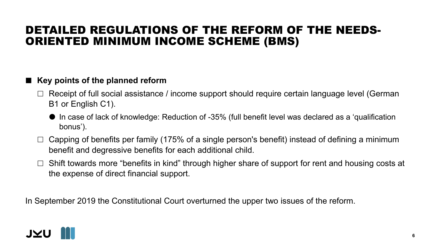#### DETAILED REGULATIONS OF THE REFORM OF THE NEEDS-ORIENTED MINIMUM INCOME SCHEME (BMS)

#### ■ Key points of the planned reform

- $\Box$  Receipt of full social assistance / income support should require certain language level (German B1 or English C1).
	- $\bullet$  In case of lack of knowledge: Reduction of -35% (full benefit level was declared as a 'qualification bonus').
- $\Box$  Capping of benefits per family (175% of a single person's benefit) instead of defining a minimum benefit and degressive benefits for each additional child.
- $\Box$  Shift towards more "benefits in kind" through higher share of support for rent and housing costs at the expense of direct financial support.

In September 2019 the Constitutional Court overturned the upper two issues of the reform.

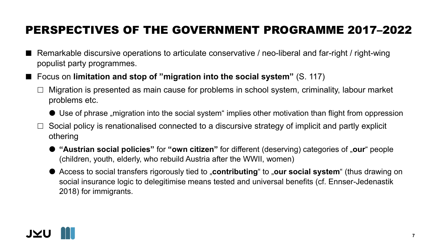## PERSPECTIVES OF THE GOVERNMENT PROGRAMME 2017–2022

- Remarkable discursive operations to articulate conservative / neo-liberal and far-right / right-wing populist party programmes.
- Focus on **limitation and stop of "migration into the social system"** (S. 117)
	- Migration is presented as main cause for problems in school system, criminality, labour market problems etc.
		- $\bullet$  Use of phrase "migration into the social system" implies other motivation than flight from oppression
	- Social policy is renationalised connected to a discursive strategy of implicit and partly explicit othering
		- **"Austrian social policies"** for **"own citizen"** for different (deserving) categories of "**our**" people (children, youth, elderly, who rebuild Austria after the WWII, women)
		- Access to social transfers rigorously tied to "**contributing**" to "our social system" (thus drawing on social insurance logic to delegitimise means tested and universal benefits (cf. Ennser-Jedenastik 2018) for immigrants.

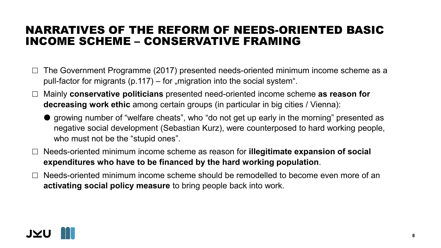#### NARRATIVES OF THE REFORM OF NEEDS-ORIENTED BASIC INCOME SCHEME – CONSERVATIVE FRAMING

- $\Box$  The Government Programme (2017) presented needs-oriented minimum income scheme as a pull-factor for migrants (p.117) – for "migration into the social system".
- Mainly **conservative politicians** presented need-oriented income scheme **as reason for decreasing work ethic** among certain groups (in particular in big cities / Vienna):
	- growing number of "welfare cheats", who "do not get up early in the morning" presented as negative social development (Sebastian Kurz), were counterposed to hard working people, who must not be the "stupid ones".
- Needs-oriented minimum income scheme as reason for **illegitimate expansion of social expenditures who have to be financed by the hard working population**.
- Needs-oriented minimum income scheme should be remodelled to become even more of an **activating social policy measure** to bring people back into work.

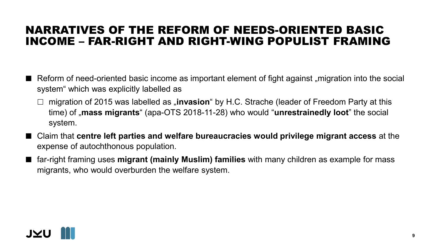#### NARRATIVES OF THE REFORM OF NEEDS-ORIENTED BASIC INCOME – FAR-RIGHT AND RIGHT-WING POPULIST FRAMING

- $\blacksquare$  Reform of need-oriented basic income as important element of fight against "migration into the social system" which was explicitly labelled as
	- migration of 2015 was labelled as "**invasion**" by H.C. Strache (leader of Freedom Party at this time) of "**mass migrants**" (apa-OTS 2018-11-28) who would "**unrestrainedly loot**" the social system.
- Claim that **centre left parties and welfare bureaucracies would privilege migrant access** at the expense of autochthonous population.
- far-right framing uses **migrant (mainly Muslim) families** with many children as example for mass migrants, who would overburden the welfare system.

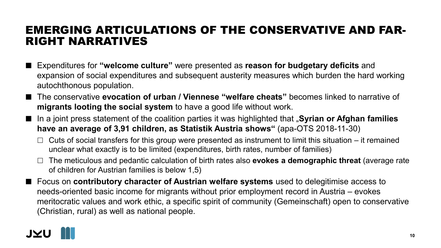#### EMERGING ARTICULATIONS OF THE CONSERVATIVE AND FAR-RIGHT NARRATIVES

- Expenditures for "welcome culture" were presented as **reason for budgetary deficits** and expansion of social expenditures and subsequent austerity measures which burden the hard working autochthonous population.
- The conservative **evocation of urban / Viennese "welfare cheats"** becomes linked to narrative of **migrants looting the social system** to have a good life without work.
- In a joint press statement of the coalition parties it was highlighted that "Syrian or Afghan families **have an average of 3,91 children, as Statistik Austria shows"** (apa-OTS 2018-11-30)
	- $\Box$  Cuts of social transfers for this group were presented as instrument to limit this situation it remained unclear what exactly is to be limited (expenditures, birth rates, number of families)
	- The meticulous and pedantic calculation of birth rates also **evokes a demographic threat** (average rate of children for Austrian families is below 1,5)
- Focus on **contributory character of Austrian welfare systems** used to delegitimise access to needs-oriented basic income for migrants without prior employment record in Austria – evokes meritocratic values and work ethic, a specific spirit of community (Gemeinschaft) open to conservative (Christian, rural) as well as national people.

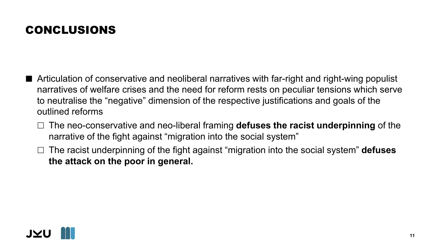## CONCLUSIONS

- Articulation of conservative and neoliberal narratives with far-right and right-wing populist narratives of welfare crises and the need for reform rests on peculiar tensions which serve to neutralise the "negative" dimension of the respective justifications and goals of the outlined reforms
	- The neo-conservative and neo-liberal framing **defuses the racist underpinning** of the narrative of the fight against "migration into the social system"
	- The racist underpinning of the fight against "migration into the social system" **defuses the attack on the poor in general.**

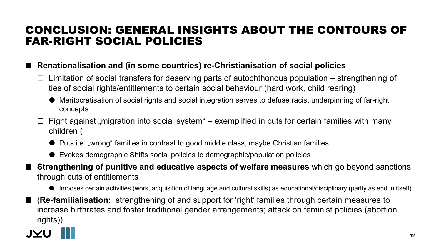#### CONCLUSION: GENERAL INSIGHTS ABOUT THE CONTOURS OF FAR-RIGHT SOCIAL POLICIES

#### **Renationalisation and (in some countries) re-Christianisation of social policies**

- Limitation of social transfers for deserving parts of autochthonous population strengthening of ties of social rights/entitlements to certain social behaviour (hard work, child rearing)
	- Meritocratisation of social rights and social integration serves to defuse racist underpinning of far-right concepts
- $\Box$  Fight against "migration into social system" exemplified in cuts for certain families with many children (
	- Puts i.e. "wrong" families in contrast to good middle class, maybe Christian families
	- Evokes demographic Shifts social policies to demographic/population policies
- **Strengthening of punitive and educative aspects of welfare measures** which go beyond sanctions through cuts of entitlements
	- Imposes certain activities (work, acquisition of language and cultural skills) as educational/disciplinary (partly as end in itself)
- (**Re-familialisation:** strengthening of and support for 'right' families through certain measures to increase birthrates and foster traditional gender arrangements; attack on feminist policies (abortion rights))

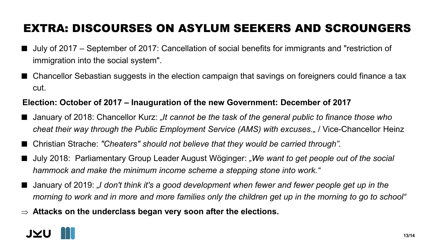## EXTRA: DISCOURSES ON ASYLUM SEEKERS AND SCROUNGERS

- July of 2017 September of 2017: Cancellation of social benefits for immigrants and "restriction of immigration into the social system".
- Chancellor Sebastian suggests in the election campaign that savings on foreigners could finance a tax cut.

#### **Election: October of 2017 – Inauguration of the new Government: December of 2017**

- January of 2018: Chancellor Kurz: *"It cannot be the task of the general public to finance those who cheat their way through the Public Employment Service (AMS) with excuses."* / Vice-Chancellor Heinz
- Christian Strache: *"Cheaters" should not believe that they would be carried through".*
- July 2018: Parliamentary Group Leader August Wöginger: "We want to get people out of the social *hammock and make the minimum income scheme a stepping stone into work."*
- January of 2019: "I don't think it's a good development when fewer and fewer people get up in the *morning to work and in more and more families only the children get up in the morning to go to school"*
- ⇒ **Attacks on the underclass began very soon after the elections.**